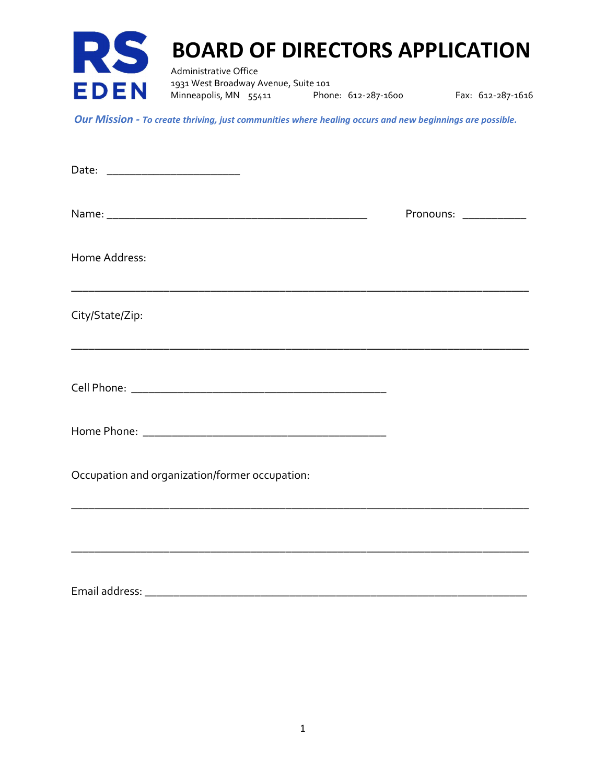

Our Mission - To create thriving, just communities where healing occurs and new beginnings are possible.

|                                                | Pronouns: ___________ |  |
|------------------------------------------------|-----------------------|--|
| Home Address:                                  |                       |  |
| City/State/Zip:                                |                       |  |
|                                                |                       |  |
|                                                |                       |  |
| Occupation and organization/former occupation: |                       |  |
|                                                |                       |  |
| Email address:                                 |                       |  |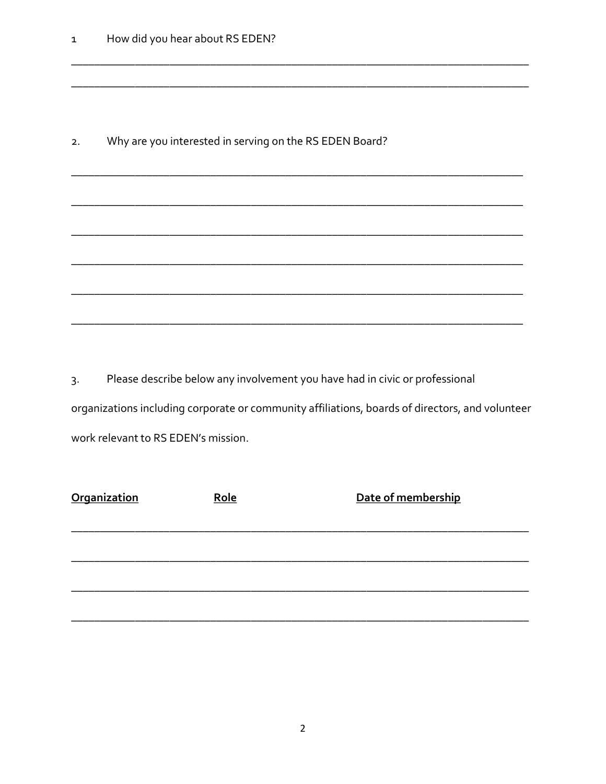|  | Why are you interested in serving on the RS EDEN Board? |
|--|---------------------------------------------------------|
|  |                                                         |

Please describe below any involvement you have had in civic or professional  $3.$ organizations including corporate or community affiliations, boards of directors, and volunteer work relevant to RS EDEN's mission.

| <b>Organization</b> | Role | Date of membership |
|---------------------|------|--------------------|
|                     |      |                    |
|                     |      |                    |
|                     |      |                    |
|                     |      |                    |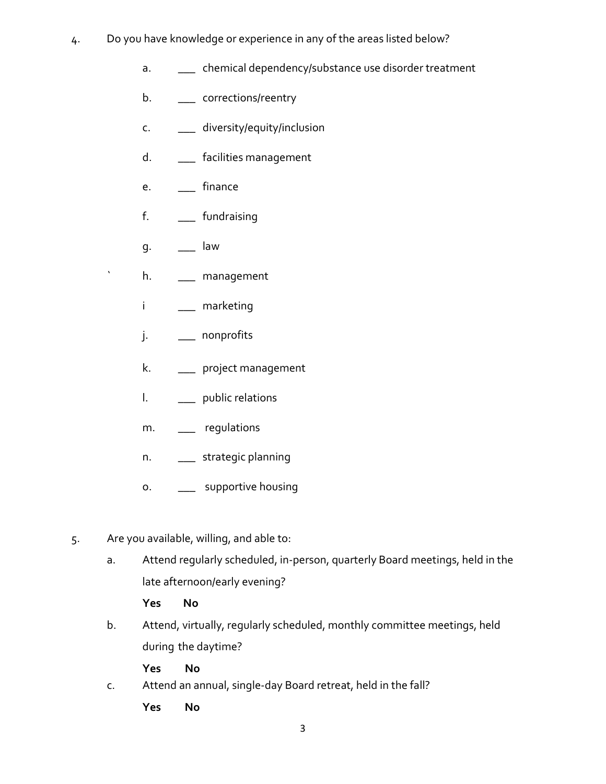- 4. Do you have knowledge or experience in any of the areas listed below?
	- a. \_\_\_ chemical dependency/substance use disorder treatment
	- b. \_\_\_ corrections/reentry
	- c. \_\_\_ diversity/equity/inclusion
	- d. \_\_\_\_\_ facilities management
	- e. \_\_\_ finance
	- f. \_\_\_ fundraising
	- g. \_\_\_ law
	- h. \_\_\_ management
	- i \_\_\_ marketing
	- j. \_\_\_ nonprofits
	- k. \_\_\_ project management
	- l. \_\_\_ public relations
	- m. \_\_\_ regulations
	- n. \_\_\_ strategic planning
	- o. \_\_\_\_ supportive housing
- 5. Are you available, willing, and able to:
	- a. Attend regularly scheduled, in-person, quarterly Board meetings, held in the late afternoon/early evening?
		- Yes No
	- b. Attend, virtually, regularly scheduled, monthly committee meetings, held during the daytime?
		- Yes No
	- c. Attend an annual, single-day Board retreat, held in the fall?
		- Yes No